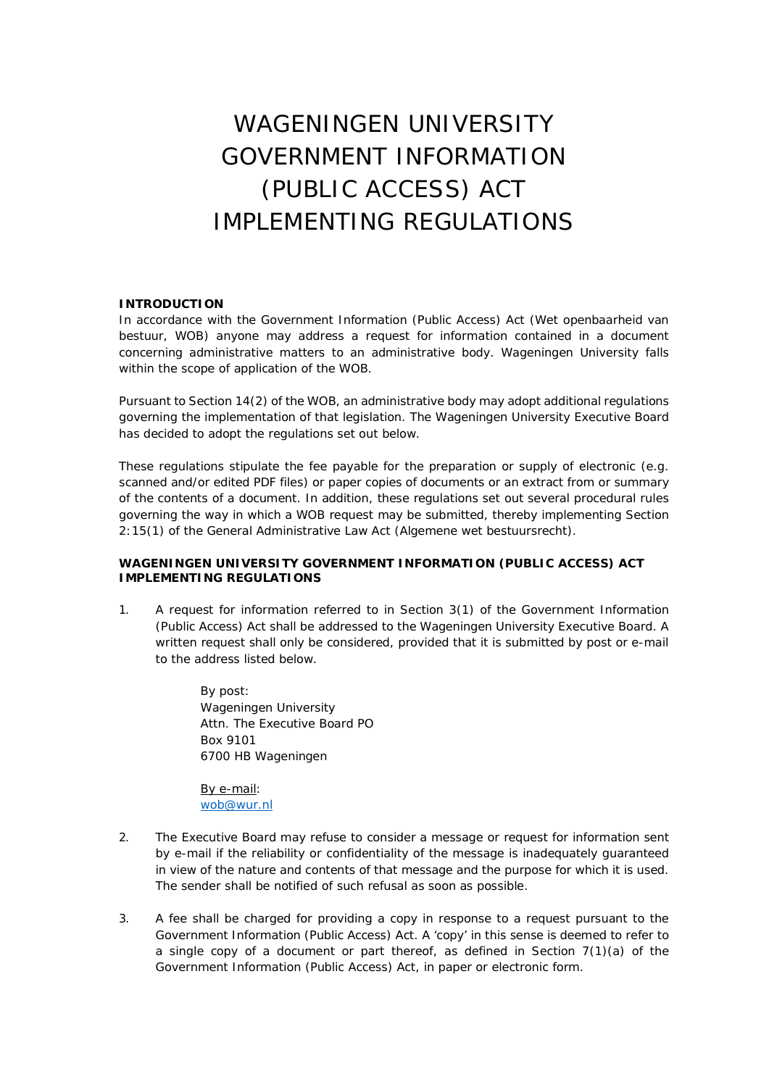## WAGENINGEN UNIVERSITY GOVERNMENT INFORMATION (PUBLIC ACCESS) ACT IMPLEMENTING REGULATIONS

## **INTRODUCTION**

In accordance with the Government Information (Public Access) Act (*Wet openbaarheid van bestuur*, WOB) anyone may address a request for information contained in a document concerning administrative matters to an administrative body. Wageningen University falls within the scope of application of the WOB.

Pursuant to Section 14(2) of the WOB, an administrative body may adopt additional regulations governing the implementation of that legislation. The Wageningen University Executive Board has decided to adopt the regulations set out below.

These regulations stipulate the fee payable for the preparation or supply of electronic (e.g. scanned and/or edited PDF files) or paper copies of documents or an extract from or summary of the contents of a document. In addition, these regulations set out several procedural rules governing the way in which a WOB request may be submitted, thereby implementing Section 2:15(1) of the General Administrative Law Act (*Algemene wet bestuursrecht*).

## **WAGENINGEN UNIVERSITY GOVERNMENT INFORMATION (PUBLIC ACCESS) ACT IMPLEMENTING REGULATIONS**

1. A request for information referred to in Section 3(1) of the Government Information (Public Access) Act shall be addressed to the Wageningen University Executive Board. A written request shall only be considered, provided that it is submitted by post or e-mail to the address listed below.

> By post: Wageningen University Attn. The Executive Board PO Box 9101 6700 HB Wageningen

By e-mail: [wob@wur.nl](mailto:wob@wur.nl)

- 2. The Executive Board may refuse to consider a message or request for information sent by e-mail if the reliability or confidentiality of the message is inadequately guaranteed in view of the nature and contents of that message and the purpose for which it is used. The sender shall be notified of such refusal as soon as possible.
- 3. A fee shall be charged for providing a copy in response to a request pursuant to the Government Information (Public Access) Act. A 'copy' in this sense is deemed to refer to a single copy of a document or part thereof, as defined in Section  $7(1)(a)$  of the Government Information (Public Access) Act, in paper or electronic form.